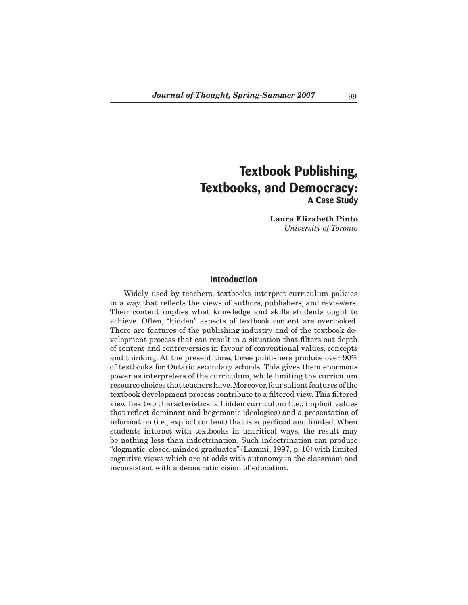# **Textbook Publishing, Textbooks, and Democracy: A Case Study**

**Laura Elizabeth Pinto** *University of Toronto*

# **Introduction**

 Widely used by teachers, textbooks interpret curriculum policies in a way that reflects the views of authors, publishers, and reviewers. Their content implies what knowledge and skills students ought to achieve. Often, "hidden" aspects of textbook content are overlooked. There are features of the publishing industry and of the textbook development process that can result in a situation that filters out depth of content and controversies in favour of conventional values, concepts and thinking. At the present time, three publishers produce over 90% of textbooks for Ontario secondary schools. This gives them enormous power as interpreters of the curriculum, while limiting the curriculum resource choices thatteachershave.Moreover,four salientfeatures ofthe textbook development process contribute to a filtered view.This filtered view has two characteristics: a hidden curriculum (i.e., implicit values that reflect dominant and hegemonic ideologies) and a presentation of information (i.e., explicit content) that is superficial and limited. When students interact with textbooks in uncritical ways, the result may be nothing less than indoctrination. Such indoctrination can produce "dogmatic, closed-minded graduates" (Lammi, 1997, p. 10) with limited cognitive views which are at odds with autonomy in the classroom and inconsistent with a democratic vision of education.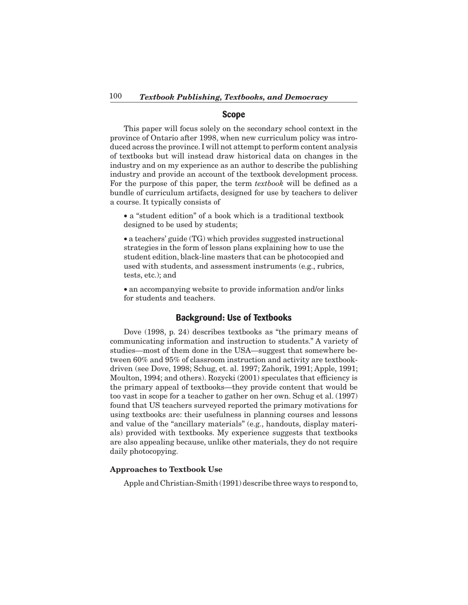## **Scope**

 This paper will focus solely on the secondary school context in the province of Ontario after 1998, when new curriculum policy was introduced across the province. I will not attempt to perform content analysis of textbooks but will instead draw historical data on changes in the industry and on my experience as an author to describe the publishing industry and provide an account of the textbook development process. For the purpose of this paper, the term *textbook* will be defined as a bundle of curriculum artifacts, designed for use by teachers to deliver a course. It typically consists of

• a "student edition" of a book which is a traditional textbook designed to be used by students;

• a teachers' guide (TG) which provides suggested instructional strategies in the form of lesson plans explaining how to use the student edition, black-line masters that can be photocopied and used with students, and assessment instruments (e.g., rubrics, tests, etc.); and

• an accompanying website to provide information and/or links for students and teachers.

# **Background: Use of Textbooks**

 Dove (1998, p. 24) describes textbooks as "the primary means of communicating information and instruction to students." A variety of studies—most of them done in the USA—suggest that somewhere between 60% and 95% of classroom instruction and activity are textbookdriven (see Dove, 1998; Schug, et. al. 1997; Zahorik, 1991; Apple, 1991; Moulton, 1994; and others). Rozycki (2001) speculates that efficiency is the primary appeal of textbooks—they provide content that would be too vast in scope for a teacher to gather on her own. Schug et al. (1997) found that US teachers surveyed reported the primary motivations for using textbooks are: their usefulness in planning courses and lessons and value of the "ancillary materials" (e.g., handouts, display materials) provided with textbooks. My experience suggests that textbooks are also appealing because, unlike other materials, they do not require daily photocopying.

## **Approaches to Textbook Use**

 Apple and Christian-Smith (1991) describe three ways to respond to,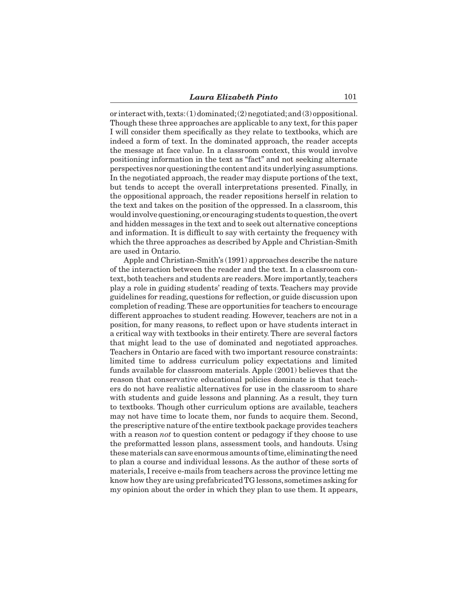or interact with, texts:  $(1)$  dominated; $(2)$  negotiated; and  $(3)$  oppositional. Though these three approaches are applicable to any text, for this paper I will consider them specifically as they relate to textbooks, which are indeed a form of text. In the dominated approach, the reader accepts the message at face value. In a classroom context, this would involve positioning information in the text as "fact" and not seeking alternate perspectivesnorquestioningthe contentanditsunderlyingassumptions. In the negotiated approach, the reader may dispute portions of the text, but tends to accept the overall interpretations presented. Finally, in the oppositional approach, the reader repositions herself in relation to the text and takes on the position of the oppressed. In a classroom, this wouldinvolvequestioning,or encouraging students toquestion,the overt and hidden messages in the text and to seek out alternative conceptions and information. It is difficult to say with certainty the frequency with which the three approaches as described by Apple and Christian-Smith are used in Ontario.

 Apple and Christian-Smith's (1991) approaches describe the nature of the interaction between the reader and the text. In a classroom context, both teachers and students are readers. More importantly, teachers play a role in guiding students' reading of texts. Teachers may provide guidelines for reading, questions for reflection, or guide discussion upon completion of reading.These are opportunities for teachers to encourage different approaches to student reading. However, teachers are not in a position, for many reasons, to reflect upon or have students interact in a critical way with textbooks in their entirety.There are several factors that might lead to the use of dominated and negotiated approaches. Teachers in Ontario are faced with two important resource constraints: limited time to address curriculum policy expectations and limited funds available for classroom materials. Apple (2001) believes that the reason that conservative educational policies dominate is that teachers do not have realistic alternatives for use in the classroom to share with students and guide lessons and planning. As a result, they turn to textbooks. Though other curriculum options are available, teachers may not have time to locate them, nor funds to acquire them. Second, the prescriptive nature ofthe entire textbook package provides teachers with a reason *not* to question content or pedagogy if they choose to use the preformatted lesson plans, assessment tools, and handouts. Using thesematerials cansave enormousamounts oftime,eliminatingtheneed to plan a course and individual lessons. As the author of these sorts of materials, I receive e-mails from teachers across the province letting me know how they are using prefabricatedTG lessons, sometimes asking for my opinion about the order in which they plan to use them. It appears,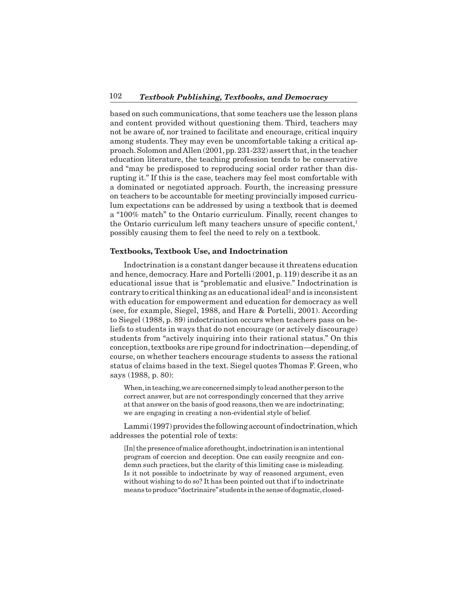based on such communications, that some teachers use the lesson plans and content provided without questioning them. Third, teachers may not be aware of, nor trained to facilitate and encourage, critical inquiry among students. They may even be uncomfortable taking a critical approach. Solomon and Allen (2001, pp. 231-232) assert that, in the teacher education literature, the teaching profession tends to be conservative and "may be predisposed to reproducing social order rather than disrupting it." If this is the case, teachers may feel most comfortable with a dominated or negotiated approach. Fourth, the increasing pressure on teachers to be accountable for meeting provincially imposed curriculum expectations can be addressed by using a textbook that is deemed a "100% match" to the Ontario curriculum. Finally, recent changes to the Ontario curriculum left many teachers unsure of specific content,<sup>1</sup> possibly causing them to feel the need to rely on a textbook.

#### **Textbooks, Textbook Use, and Indoctrination**

 Indoctrination is a constant danger because it threatens education and hence, democracy. Hare and Portelli (2001, p. 119) describe it as an educational issue that is "problematic and elusive." Indoctrination is contrary to critical thinking as an educational ideal<sup>2</sup> and is inconsistent with education for empowerment and education for democracy as well (see, for example, Siegel, 1988, and Hare & Portelli, 2001). According to Siegel (1988, p. 89) indoctrination occurs when teachers pass on beliefs to students in ways that do not encourage (or actively discourage) students from "actively inquiring into their rational status." On this conception, textbooks are ripe ground for indoctrination—depending, of course, on whether teachers encourage students to assess the rational status of claims based in the text. Siegel quotes Thomas F. Green, who says (1988, p. 80):

When, in teaching, we are concerned simply to lead another person to the correct answer, but are not correspondingly concerned that they arrive at that answer on the basis of good reasons,then we are indoctrinating; we are engaging in creating a non-evidential style of belief.

Lammi(1997) provides the following account of indoctrination, which addresses the potential role of texts:

[In] the presence of malice aforethought, indoctrination is an intentional program of coercion and deception. One can easily recognize and condemn such practices, but the clarity of this limiting case is misleading. Is it not possible to indoctrinate by way of reasoned argument, even without wishing to do so? It has been pointed out that if to indoctrinate means to produce "doctrinaire" students in the sense of dogmatic, closed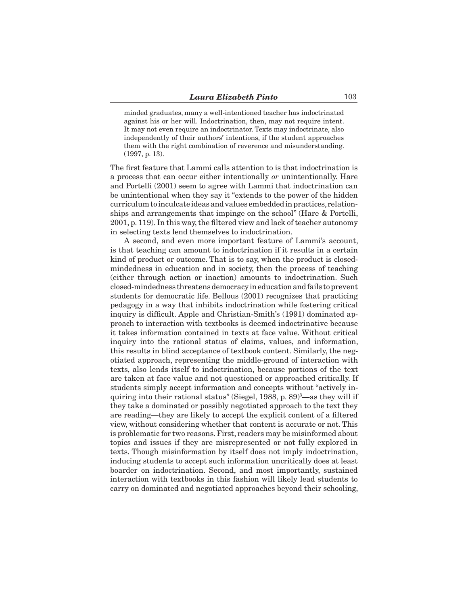minded graduates, many a well-intentioned teacher has indoctrinated against his or her will. Indoctrination, then, may not require intent. It may not even require an indoctrinator. Texts may indoctrinate, also independently of their authors' intentions, if the student approaches them with the right combination of reverence and misunderstanding. (1997, p. 13).

The first feature that Lammi calls attention to is that indoctrination is a process that can occur either intentionally *or* unintentionally. Hare and Portelli (2001) seem to agree with Lammi that indoctrination can be unintentional when they say it "extends to the power of the hidden curriculumto inculcate ideasandvalues embeddedinpractices,relationships and arrangements that impinge on the school" (Hare & Portelli, 2001, p. 119). In this way,the filtered view and lack of teacher autonomy in selecting texts lend themselves to indoctrination.

 A second, and even more important feature of Lammi's account, is that teaching can amount to indoctrination if it results in a certain kind of product or outcome. That is to say, when the product is closedmindedness in education and in society, then the process of teaching (either through action or inaction) amounts to indoctrination. Such closed-mindedness threatensdemocracyineducationandfails toprevent students for democratic life. Bellous (2001) recognizes that practicing pedagogy in a way that inhibits indoctrination while fostering critical inquiry is difficult. Apple and Christian-Smith's (1991) dominated approach to interaction with textbooks is deemed indoctrinative because it takes information contained in texts at face value. Without critical inquiry into the rational status of claims, values, and information, this results in blind acceptance of textbook content. Similarly, the negotiated approach, representing the middle-ground of interaction with texts, also lends itself to indoctrination, because portions of the text are taken at face value and not questioned or approached critically. If students simply accept information and concepts without "actively inquiring into their rational status" (Siegel, 1988, p. 89)<sup>3</sup>—as they will if they take a dominated or possibly negotiated approach to the text they are reading—they are likely to accept the explicit content of a filtered view, without considering whether that content is accurate or not. This is problematic for two reasons.First, readers may be misinformed about topics and issues if they are misrepresented or not fully explored in texts. Though misinformation by itself does not imply indoctrination, inducing students to accept such information uncritically does at least boarder on indoctrination. Second, and most importantly, sustained interaction with textbooks in this fashion will likely lead students to carry on dominated and negotiated approaches beyond their schooling,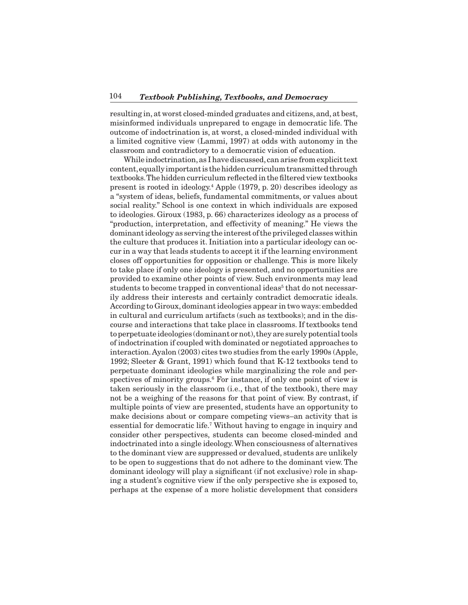resulting in, at worst closed-minded graduates and citizens, and, at best, misinformed individuals unprepared to engage in democratic life. The outcome of indoctrination is, at worst, a closed-minded individual with a limited cognitive view (Lammi, 1997) at odds with autonomy in the classroom and contradictory to a democratic vision of education.

While indoctrination, as I have discussed, can arise from explicit text content, equally important is the hidden curriculum transmitted through textbooks.The hidden curriculum reflected in the filtered view textbooks present is rooted in ideology.4 Apple (1979, p. 20) describes ideology as a "system of ideas, beliefs, fundamental commitments, or values about social reality." School is one context in which individuals are exposed to ideologies. Giroux (1983, p. 66) characterizes ideology as a process of "production, interpretation, and effectivity of meaning." He views the dominantideology as serving the interest ofthe privileged classeswithin the culture that produces it. Initiation into a particular ideology can occur in a way that leads students to accept it if the learning environment closes off opportunities for opposition or challenge. This is more likely to take place if only one ideology is presented, and no opportunities are provided to examine other points of view. Such environments may lead students to become trapped in conventional ideas<sup>5</sup> that do not necessarily address their interests and certainly contradict democratic ideals. According to Giroux,dominantideologies appear in two ways: embedded in cultural and curriculum artifacts (such as textbooks); and in the discourse and interactions that take place in classrooms. If textbooks tend to perpetuate ideologies (dominant or not), they are surely potential tools of indoctrination if coupled with dominated or negotiated approaches to interaction.Ayalon (2003) cites two studies from the early 1990s (Apple, 1992; Sleeter & Grant, 1991) which found that K-12 textbooks tend to perpetuate dominant ideologies while marginalizing the role and perspectives of minority groups.<sup>6</sup> For instance, if only one point of view is taken seriously in the classroom (i.e., that of the textbook), there may not be a weighing of the reasons for that point of view. By contrast, if multiple points of view are presented, students have an opportunity to make decisions about or compare competing views–an activity that is essential for democratic life.7 Without having to engage in inquiry and consider other perspectives, students can become closed-minded and indoctrinated into a single ideology.When consciousness of alternatives to the dominant view are suppressed or devalued, students are unlikely to be open to suggestions that do not adhere to the dominant view. The dominant ideology will play a significant (if not exclusive) role in shaping a student's cognitive view if the only perspective she is exposed to, perhaps at the expense of a more holistic development that considers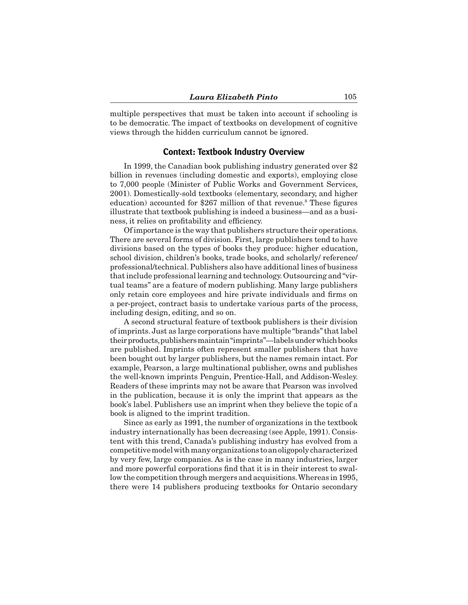multiple perspectives that must be taken into account if schooling is to be democratic. The impact of textbooks on development of cognitive views through the hidden curriculum cannot be ignored.

## **Context: Textbook Industry Overview**

 In 1999, the Canadian book publishing industry generated over \$2 billion in revenues (including domestic and exports), employing close to 7,000 people (Minister of Public Works and Government Services, 2001). Domestically-sold textbooks (elementary, secondary, and higher education) accounted for \$267 million of that revenue.<sup>8</sup> These figures illustrate that textbook publishing is indeed a business—and as a business, it relies on profitability and efficiency.

 Of importance is the way that publishers structure their operations. There are several forms of division. First, large publishers tend to have divisions based on the types of books they produce: higher education, school division, children's books, trade books, and scholarly/ reference/ professional/technical. Publishers also have additional lines of business thatinclude professional learning and technology.Outsourcing and "virtual teams" are a feature of modern publishing. Many large publishers only retain core employees and hire private individuals and firms on a per-project, contract basis to undertake various parts of the process, including design, editing, and so on.

 A second structural feature of textbook publishers is their division of imprints. Just as large corporations have multiple "brands"that label their products, publishers maintain "imprints"—labels under which books are published. Imprints often represent smaller publishers that have been bought out by larger publishers, but the names remain intact. For example, Pearson, a large multinational publisher, owns and publishes the well-known imprints Penguin, Prentice-Hall, and Addison-Wesley. Readers of these imprints may not be aware that Pearson was involved in the publication, because it is only the imprint that appears as the book's label. Publishers use an imprint when they believe the topic of a book is aligned to the imprint tradition.

 Since as early as 1991, the number of organizations in the textbook industry internationally has been decreasing (see Apple, 1991). Consistent with this trend, Canada's publishing industry has evolved from a competitivemodelwithmanyorganizations toanoligopolycharacterized by very few, large companies. As is the case in many industries, larger and more powerful corporations find that it is in their interest to swallow the competition through mergers and acquisitions.Whereas in 1995, there were 14 publishers producing textbooks for Ontario secondary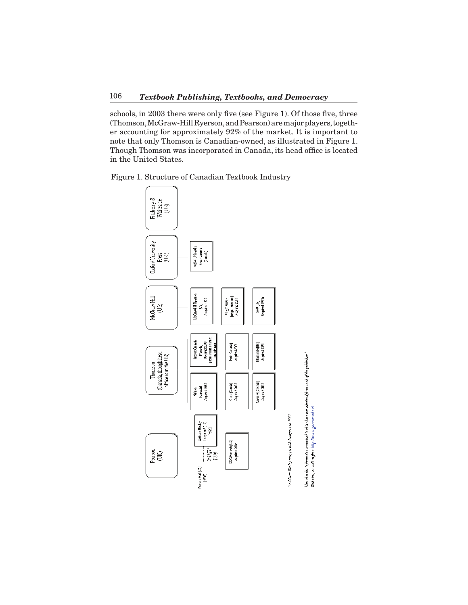schools, in 2003 there were only five (see Figure 1). Of those five, three (Thomson,McGraw-HillRyerson,andPearson)aremajorplayers,together accounting for approximately 92% of the market. It is important to note that only Thomson is Canadian-owned, as illustrated in Figure 1. Though Thomson was incorporated in Canada, its head office is located in the United States.

Figure 1. Structure of Canadian Textbook Industry



\* Addison Wesley nurged with Longman in 1995

Note that the information cortained in this chart was obtained from each of the publishers'<br>Web sites, as well as from http://www.garamond.co/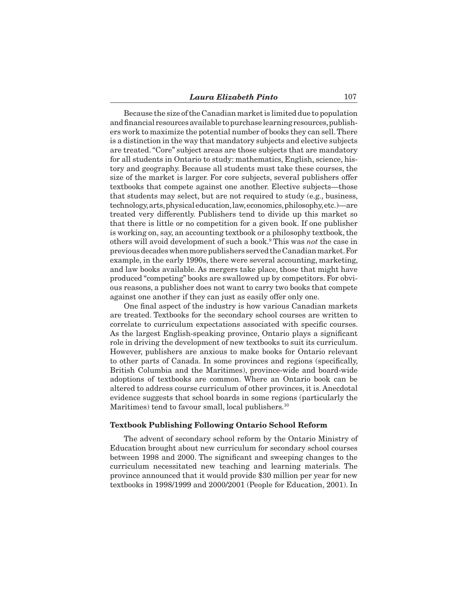Because the size ofthe Canadian marketis limited due to population and financial resources available to purchase learning resources, publishers work to maximize the potential number of books they can sell.There is a distinction in the way that mandatory subjects and elective subjects are treated."Core" subject areas are those subjects that are mandatory for all students in Ontario to study: mathematics, English, science, history and geography. Because all students must take these courses, the size of the market is larger. For core subjects, several publishers offer textbooks that compete against one another. Elective subjects—those that students may select, but are not required to study (e.g., business, technology,arts,physical education,law,economics,philosophy,etc.)—are treated very differently. Publishers tend to divide up this market so that there is little or no competition for a given book. If one publisher is working on, say, an accounting textbook or a philosophy textbook, the others will avoid development of such a book.9 This was *not* the case in previousdecadeswhenmorepublishers servedtheCanadianmarket.For example, in the early 1990s, there were several accounting, marketing, and law books available. As mergers take place, those that might have produced "competing" books are swallowed up by competitors. For obvious reasons, a publisher does not want to carry two books that compete against one another if they can just as easily offer only one.

 One final aspect of the industry is how various Canadian markets are treated. Textbooks for the secondary school courses are written to correlate to curriculum expectations associated with specific courses. As the largest English-speaking province, Ontario plays a significant role in driving the development of new textbooks to suit its curriculum. However, publishers are anxious to make books for Ontario relevant to other parts of Canada. In some provinces and regions (specifically, British Columbia and the Maritimes), province-wide and board-wide adoptions of textbooks are common. Where an Ontario book can be altered to address course curriculum of other provinces, it is. Anecdotal evidence suggests that school boards in some regions (particularly the Maritimes) tend to favour small, local publishers.<sup>10</sup>

#### **Textbook Publishing Following Ontario School Reform**

 The advent of secondary school reform by the Ontario Ministry of Education brought about new curriculum for secondary school courses between 1998 and 2000. The significant and sweeping changes to the curriculum necessitated new teaching and learning materials. The province announced that it would provide \$30 million per year for new textbooks in 1998/1999 and 2000/2001 (People for Education, 2001). In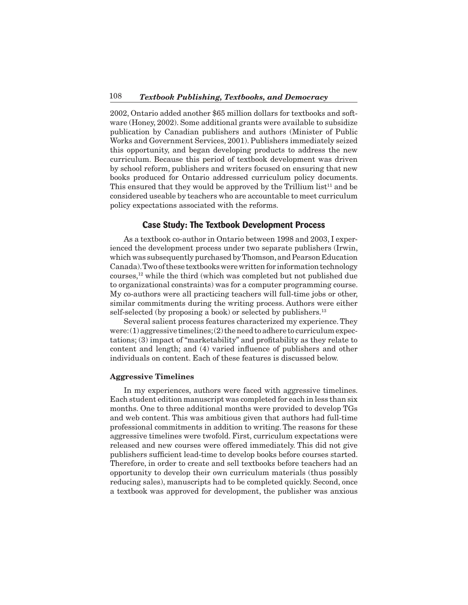2002, Ontario added another \$65 million dollars for textbooks and software (Honey, 2002). Some additional grants were available to subsidize publication by Canadian publishers and authors (Minister of Public Works and Government Services, 2001). Publishers immediately seized this opportunity, and began developing products to address the new curriculum. Because this period of textbook development was driven by school reform, publishers and writers focused on ensuring that new books produced for Ontario addressed curriculum policy documents. This ensured that they would be approved by the Trillium  $list<sup>11</sup>$  and be considered useable by teachers who are accountable to meet curriculum policy expectations associated with the reforms.

## **Case Study: The Textbook Development Process**

 As a textbook co-author in Ontario between 1998 and 2003, I experienced the development process under two separate publishers (Irwin, which was subsequently purchased by Thomson, and Pearson Education Canada). Two of these textbooks were written for information technology courses,12 while the third (which was completed but not published due to organizational constraints) was for a computer programming course. My co-authors were all practicing teachers will full-time jobs or other, similar commitments during the writing process. Authors were either self-selected (by proposing a book) or selected by publishers.<sup>13</sup>

 Several salient process features characterized my experience.They were: $(1)$  aggressive timelines; $(2)$  the need to adhere to curriculum expectations; (3) impact of "marketability" and profitability as they relate to content and length; and (4) varied influence of publishers and other individuals on content. Each of these features is discussed below.

#### **Aggressive Timelines**

 In my experiences, authors were faced with aggressive timelines. Each student edition manuscript was completed for each in less than six months. One to three additional months were provided to develop TGs and web content. This was ambitious given that authors had full-time professional commitments in addition to writing. The reasons for these aggressive timelines were twofold. First, curriculum expectations were released and new courses were offered immediately. This did not give publishers sufficient lead-time to develop books before courses started. Therefore, in order to create and sell textbooks before teachers had an opportunity to develop their own curriculum materials (thus possibly reducing sales), manuscripts had to be completed quickly. Second, once a textbook was approved for development, the publisher was anxious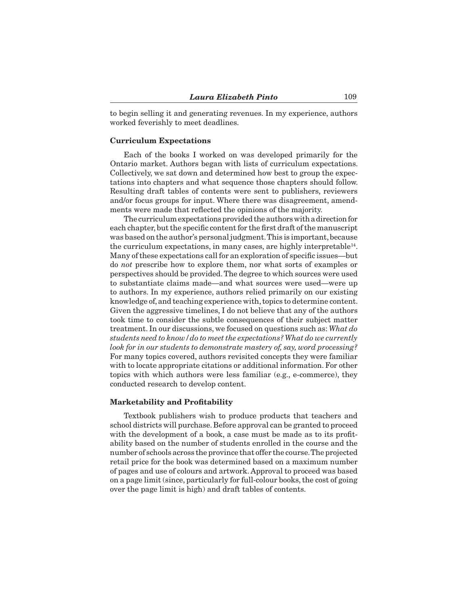to begin selling it and generating revenues. In my experience, authors worked feverishly to meet deadlines.

#### **Curriculum Expectations**

 Each of the books I worked on was developed primarily for the Ontario market. Authors began with lists of curriculum expectations. Collectively, we sat down and determined how best to group the expectations into chapters and what sequence those chapters should follow. Resulting draft tables of contents were sent to publishers, reviewers and/or focus groups for input. Where there was disagreement, amendments were made that reflected the opinions of the majority.

The curriculum expectations provided the authors with a direction for each chapter, but the specific content for the first draft of the manuscript was based on the author's personal judgment. This is important, because the curriculum expectations, in many cases, are highly interpretable<sup>14</sup>. Many ofthese expectations call for an exploration of specific issues—but do *not* prescribe how to explore them, nor what sorts of examples or perspectives should be provided.The degree to which sources were used to substantiate claims made—and what sources were used—were up to authors. In my experience, authors relied primarily on our existing knowledge of, and teaching experience with, topics to determine content. Given the aggressive timelines, I do not believe that any of the authors took time to consider the subtle consequences of their subject matter treatment. In our discussions, we focused on questions such as: *What do students need to know/do to meet the expectations? What do we currently look for in our students to demonstrate mastery of, say, word processing?* For many topics covered, authors revisited concepts they were familiar with to locate appropriate citations or additional information. For other topics with which authors were less familiar (e.g., e-commerce), they conducted research to develop content.

#### **Marketability and Profitability**

 Textbook publishers wish to produce products that teachers and school districts will purchase. Before approval can be granted to proceed with the development of a book, a case must be made as to its profitability based on the number of students enrolled in the course and the number of schools across the province that offer the course.The projected retail price for the book was determined based on a maximum number of pages and use of colours and artwork. Approval to proceed was based on a page limit (since, particularly for full-colour books,the cost of going over the page limit is high) and draft tables of contents.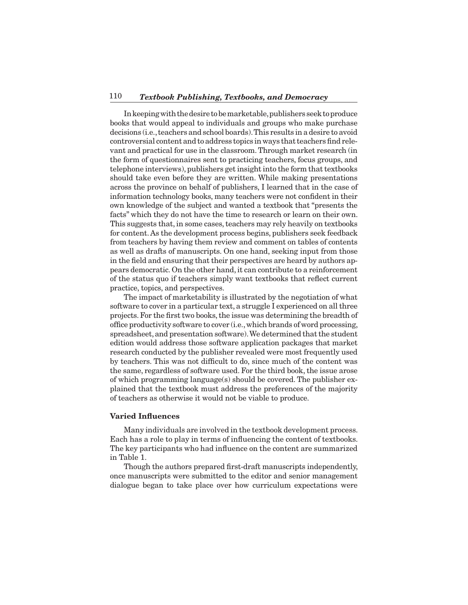## 110 *Textbook Publishing, Textbooks, and Democracy*

 Inkeepingwiththedesiretobemarketable,publishers seektoproduce books that would appeal to individuals and groups who make purchase decisions (i.e.,teachers and school boards).This results in a desire to avoid controversial content and to address topics in ways that teachers find relevant and practical for use in the classroom.Through market research (in the form of questionnaires sent to practicing teachers, focus groups, and telephone interviews), publishers get insight into the form that textbooks should take even before they are written. While making presentations across the province on behalf of publishers, I learned that in the case of information technology books, many teachers were not confident in their own knowledge of the subject and wanted a textbook that "presents the facts" which they do not have the time to research or learn on their own. This suggests that, in some cases, teachers may rely heavily on textbooks for content.As the development process begins, publishers seek feedback from teachers by having them review and comment on tables of contents as well as drafts of manuscripts. On one hand, seeking input from those in the field and ensuring that their perspectives are heard by authors appears democratic. On the other hand, it can contribute to a reinforcement of the status quo if teachers simply want textbooks that reflect current practice, topics, and perspectives.

 The impact of marketability is illustrated by the negotiation of what software to cover in a particular text, a struggle I experienced on all three projects. For the first two books, the issue was determining the breadth of office productivity software to cover (i.e.,which brands of word processing, spreadsheet, and presentation software). We determined that the student edition would address those software application packages that market research conducted by the publisher revealed were most frequently used by teachers. This was not difficult to do, since much of the content was the same, regardless of software used. For the third book, the issue arose of which programming language(s) should be covered. The publisher explained that the textbook must address the preferences of the majority of teachers as otherwise it would not be viable to produce.

#### **Varied Influences**

 Many individuals are involved in the textbook development process. Each has a role to play in terms of influencing the content of textbooks. The key participants who had influence on the content are summarized in Table 1.

 Though the authors prepared first-draft manuscripts independently, once manuscripts were submitted to the editor and senior management dialogue began to take place over how curriculum expectations were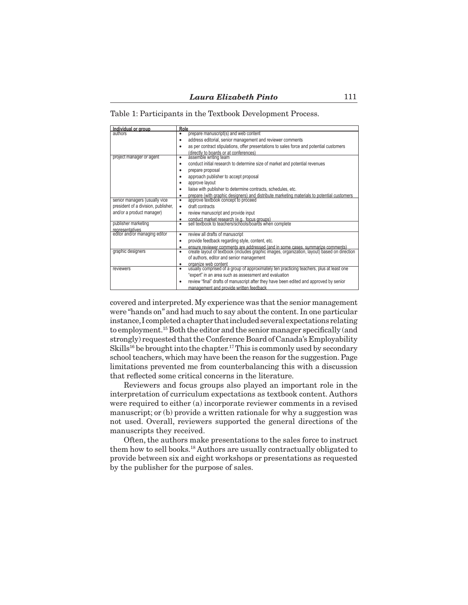Table 1: Participants in the Textbook Development Process.

|                                                  | Role                                                                                                                                                                                |
|--------------------------------------------------|-------------------------------------------------------------------------------------------------------------------------------------------------------------------------------------|
| Individual or group                              | prepare manuscript(s) and web content                                                                                                                                               |
|                                                  | address editorial, senior management and reviewer comments<br>٠                                                                                                                     |
|                                                  | as per contract stipulations, offer presentations to sales force and potential customers<br>٠                                                                                       |
|                                                  | (directly to boards or at conferences)<br>assemble writing team                                                                                                                     |
| project manager or agent                         | $\bullet$                                                                                                                                                                           |
|                                                  | conduct initial research to determine size of market and potential revenues<br>٠                                                                                                    |
|                                                  | prepare proposal<br>٠                                                                                                                                                               |
|                                                  | approach publisher to accept proposal                                                                                                                                               |
|                                                  | approve layout                                                                                                                                                                      |
|                                                  | liaise with publisher to determine contracts, schedules, etc.<br>٠                                                                                                                  |
|                                                  | prepare (with graphic designers) and distribute marketing materials to potential customers.<br>approve textbook concept to proceed<br>٠                                             |
| senior managers (usually vice                    | ٠                                                                                                                                                                                   |
| president of a division, publisher,              | draft contracts<br>٠                                                                                                                                                                |
| and/or a product manager)                        | review manuscript and provide input<br>٠                                                                                                                                            |
|                                                  | conduct market research (e.g., focus groups)<br>sell textbook to teachers/schools/boards when complete                                                                              |
| publisher marketing                              | ٠                                                                                                                                                                                   |
| representatives<br>editor and/or managing editor | review all drafts of manuscript<br>٠                                                                                                                                                |
|                                                  |                                                                                                                                                                                     |
|                                                  | provide feedback regarding style, content, etc.                                                                                                                                     |
| graphic designers                                | ensure reviewer comments are addressed (and in some cases, summarize comments)<br>create layout of textbook (includes graphic images, organization, layout) based on direction<br>٠ |
|                                                  | of authors, editor and senior management                                                                                                                                            |
|                                                  | organize web content                                                                                                                                                                |
| reviewers                                        | usually comprised of a group of approximately ten practicing teachers, plus at least one<br>٠                                                                                       |
|                                                  | "expert" in an area such as assessment and evaluation                                                                                                                               |
|                                                  | review "final" drafts of manuscript after they have been edited and approved by senior<br>٠                                                                                         |
|                                                  | management and provide written feedback                                                                                                                                             |

covered and interpreted. My experience was that the senior management were "hands on" and had much to say about the content. In one particular instance,I completedachapter thatincludedseveralexpectations relating to employment.15 Both the editor and the senior manager specifically (and strongly) requested thatthe Conference Board of Canada's Employability Skills<sup>16</sup> be brought into the chapter.<sup>17</sup>This is commonly used by secondary school teachers, which may have been the reason for the suggestion. Page limitations prevented me from counterbalancing this with a discussion that reflected some critical concerns in the literature.

 Reviewers and focus groups also played an important role in the interpretation of curriculum expectations as textbook content. Authors were required to either (a) incorporate reviewer comments in a revised manuscript; or (b) provide a written rationale for why a suggestion was not used. Overall, reviewers supported the general directions of the manuscripts they received.

 Often, the authors make presentations to the sales force to instruct them how to sell books.18 Authors are usually contractually obligated to provide between six and eight workshops or presentations as requested by the publisher for the purpose of sales.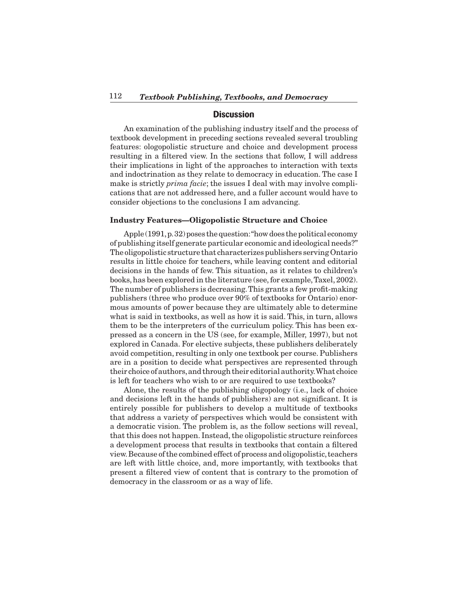## **Discussion**

 An examination of the publishing industry itself and the process of textbook development in preceding sections revealed several troubling features: ologopolistic structure and choice and development process resulting in a filtered view. In the sections that follow, I will address their implications in light of the approaches to interaction with texts and indoctrination as they relate to democracy in education. The case I make is strictly *prima facie*; the issues I deal with may involve complications that are not addressed here, and a fuller account would have to consider objections to the conclusions I am advancing.

## **Industry Features—Oligopolistic Structure and Choice**

Apple  $(1991, p.32)$  poses the question: "how does the political economy of publishing itself generate particular economic and ideological needs?" The oligopolistic structure that characterizes publishers serving Ontario results in little choice for teachers, while leaving content and editorial decisions in the hands of few. This situation, as it relates to children's books,has been explored in the literature (see,for example,Taxel, 2002). The number of publishers is decreasing.This grants a few profit-making publishers (three who produce over 90% of textbooks for Ontario) enormous amounts of power because they are ultimately able to determine what is said in textbooks, as well as how it is said. This, in turn, allows them to be the interpreters of the curriculum policy. This has been expressed as a concern in the US (see, for example, Miller, 1997), but not explored in Canada. For elective subjects, these publishers deliberately avoid competition, resulting in only one textbook per course. Publishers are in a position to decide what perspectives are represented through their choice of authors, and through their editorial authority. What choice is left for teachers who wish to or are required to use textbooks?

 Alone, the results of the publishing oligopology (i.e., lack of choice and decisions left in the hands of publishers) are not significant. It is entirely possible for publishers to develop a multitude of textbooks that address a variety of perspectives which would be consistent with a democratic vision. The problem is, as the follow sections will reveal, that this does not happen. Instead, the oligopolistic structure reinforces a development process that results in textbooks that contain a filtered view.Because ofthe combined effect of process and oligopolistic,teachers are left with little choice, and, more importantly, with textbooks that present a filtered view of content that is contrary to the promotion of democracy in the classroom or as a way of life.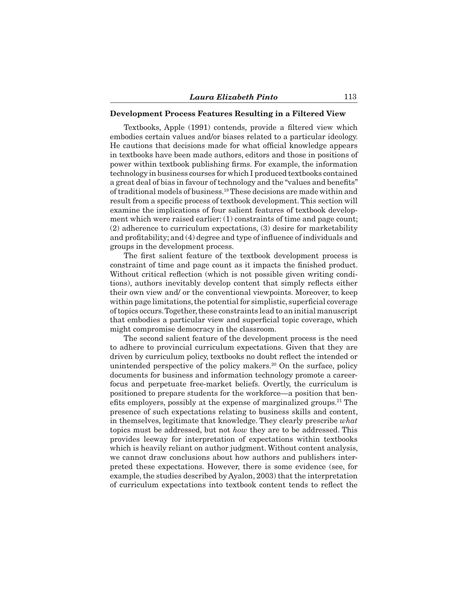## **Development Process Features Resulting in a Filtered View**

 Textbooks, Apple (1991) contends, provide a filtered view which embodies certain values and/or biases related to a particular ideology. He cautions that decisions made for what official knowledge appears in textbooks have been made authors, editors and those in positions of power within textbook publishing firms. For example, the information technology in business courses for which I produced textbooks contained a great deal of bias in favour of technology and the "values and benefits" of traditional models of business.19These decisions are made within and result from a specific process of textbook development.This section will examine the implications of four salient features of textbook development which were raised earlier: (1) constraints of time and page count; (2) adherence to curriculum expectations, (3) desire for marketability and profitability; and (4) degree and type of influence of individuals and groups in the development process.

 The first salient feature of the textbook development process is constraint of time and page count as it impacts the finished product. Without critical reflection (which is not possible given writing conditions), authors inevitably develop content that simply reflects either their own view and/ or the conventional viewpoints. Moreover, to keep within page limitations, the potential for simplistic, superficial coverage of topics occurs. Together, these constraints lead to an initial manuscript that embodies a particular view and superficial topic coverage, which might compromise democracy in the classroom.

 The second salient feature of the development process is the need to adhere to provincial curriculum expectations. Given that they are driven by curriculum policy, textbooks no doubt reflect the intended or unintended perspective of the policy makers. $20$  On the surface, policy documents for business and information technology promote a careerfocus and perpetuate free-market beliefs. Overtly, the curriculum is positioned to prepare students for the workforce—a position that benefits employers, possibly at the expense of marginalized groups.21 The presence of such expectations relating to business skills and content, in themselves, legitimate that knowledge. They clearly prescribe *what* topics must be addressed, but not *how* they are to be addressed. This provides leeway for interpretation of expectations within textbooks which is heavily reliant on author judgment. Without content analysis, we cannot draw conclusions about how authors and publishers interpreted these expectations. However, there is some evidence (see, for example, the studies described by Ayalon, 2003) that the interpretation of curriculum expectations into textbook content tends to reflect the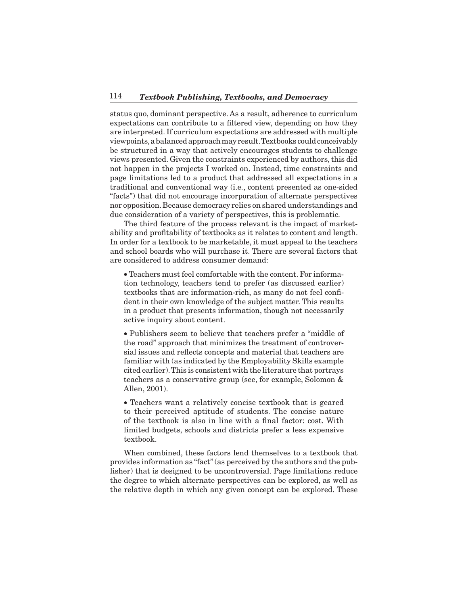status quo, dominant perspective. As a result, adherence to curriculum expectations can contribute to a filtered view, depending on how they are interpreted. If curriculum expectations are addressed with multiple viewpoints,abalancedapproachmay result.Textbooks couldconceivably be structured in a way that actively encourages students to challenge views presented. Given the constraints experienced by authors,this did not happen in the projects I worked on. Instead, time constraints and page limitations led to a product that addressed all expectations in a traditional and conventional way (i.e., content presented as one-sided "facts") that did not encourage incorporation of alternate perspectives nor opposition.Because democracy relies on shared understandings and due consideration of a variety of perspectives, this is problematic.

 The third feature of the process relevant is the impact of marketability and profitability of textbooks as it relates to content and length. In order for a textbook to be marketable, it must appeal to the teachers and school boards who will purchase it. There are several factors that are considered to address consumer demand:

• Teachers must feel comfortable with the content. For information technology, teachers tend to prefer (as discussed earlier) textbooks that are information-rich, as many do not feel confident in their own knowledge of the subject matter. This results in a product that presents information, though not necessarily active inquiry about content.

• Publishers seem to believe that teachers prefer a "middle of the road" approach that minimizes the treatment of controversial issues and reflects concepts and material that teachers are familiar with (as indicated by the Employability Skills example cited earlier).This is consistent with the literature that portrays teachers as a conservative group (see, for example, Solomon & Allen, 2001).

• Teachers want a relatively concise textbook that is geared to their perceived aptitude of students. The concise nature of the textbook is also in line with a final factor: cost. With limited budgets, schools and districts prefer a less expensive textbook.

 When combined, these factors lend themselves to a textbook that provides information as "fact"(as perceived by the authors and the publisher) that is designed to be uncontroversial. Page limitations reduce the degree to which alternate perspectives can be explored, as well as the relative depth in which any given concept can be explored. These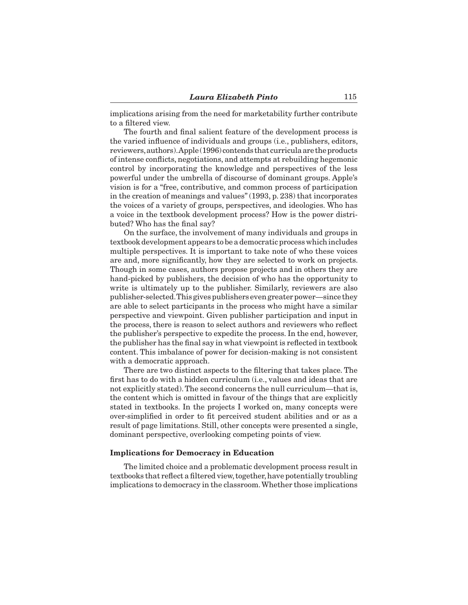implications arising from the need for marketability further contribute to a filtered view.

 The fourth and final salient feature of the development process is the varied influence of individuals and groups (i.e., publishers, editors, reviewers,authors).Apple (1996) contends that curriculaare theproducts of intense conflicts, negotiations, and attempts at rebuilding hegemonic control by incorporating the knowledge and perspectives of the less powerful under the umbrella of discourse of dominant groups. Apple's vision is for a "free, contributive, and common process of participation in the creation of meanings and values"(1993, p. 238) that incorporates the voices of a variety of groups, perspectives, and ideologies. Who has a voice in the textbook development process? How is the power distributed? Who has the final say?

 On the surface, the involvement of many individuals and groups in textbook development appears to be a democratic processwhichincludes multiple perspectives. It is important to take note of who these voices are and, more significantly, how they are selected to work on projects. Though in some cases, authors propose projects and in others they are hand-picked by publishers, the decision of who has the opportunity to write is ultimately up to the publisher. Similarly, reviewers are also publisher-selected. This gives publishers even greater power—since they are able to select participants in the process who might have a similar perspective and viewpoint. Given publisher participation and input in the process, there is reason to select authors and reviewers who reflect the publisher's perspective to expedite the process. In the end, however, the publisher has the final say in what viewpoint is reflected in textbook content. This imbalance of power for decision-making is not consistent with a democratic approach.

 There are two distinct aspects to the filtering that takes place. The first has to do with a hidden curriculum (i.e., values and ideas that are not explicitly stated).The second concerns the null curriculum—that is, the content which is omitted in favour of the things that are explicitly stated in textbooks. In the projects I worked on, many concepts were over-simplified in order to fit perceived student abilities and or as a result of page limitations. Still, other concepts were presented a single, dominant perspective, overlooking competing points of view.

#### **Implications for Democracy in Education**

 The limited choice and a problematic development process result in textbooks that reflect a filtered view, together, have potentially troubling implications to democracy in the classroom.Whether those implications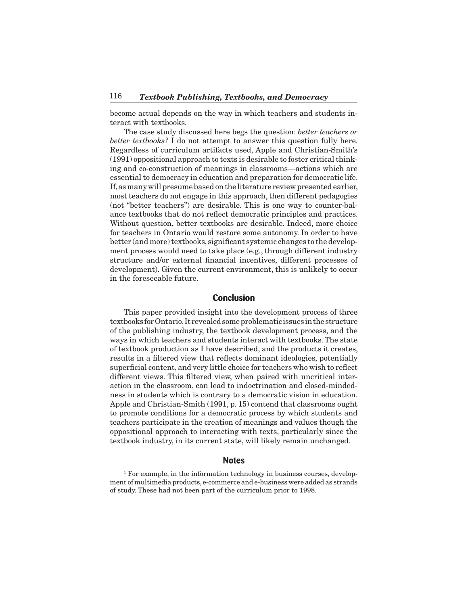become actual depends on the way in which teachers and students interact with textbooks.

 The case study discussed here begs the question: *better teachers or better textbooks?* I do not attempt to answer this question fully here. Regardless of curriculum artifacts used, Apple and Christian-Smith's  $(1991)$  oppositional approach to texts is desirable to foster critical thinking and co-construction of meanings in classrooms—actions which are essential to democracy in education and preparation for democratic life. If, as many will presume based on the literature review presented earlier, most teachers do not engage in this approach, then different pedagogies (not "better teachers") are desirable. This is one way to counter-balance textbooks that do not reflect democratic principles and practices. Without question, better textbooks are desirable. Indeed, more choice for teachers in Ontario would restore some autonomy. In order to have better (and more) textbooks, significant systemic changes to the development process would need to take place (e.g., through different industry structure and/or external financial incentives, different processes of development). Given the current environment, this is unlikely to occur in the foreseeable future.

# **Conclusion**

 This paper provided insight into the development process of three textbooks forOntario.It revealedsomeproblematic issues inthestructure of the publishing industry, the textbook development process, and the ways in which teachers and students interact with textbooks.The state of textbook production as I have described, and the products it creates, results in a filtered view that reflects dominant ideologies, potentially superficial content, and very little choice for teachers who wish to reflect different views. This filtered view, when paired with uncritical interaction in the classroom, can lead to indoctrination and closed-mindedness in students which is contrary to a democratic vision in education. Apple and Christian-Smith (1991, p. 15) contend that classrooms ought to promote conditions for a democratic process by which students and teachers participate in the creation of meanings and values though the oppositional approach to interacting with texts, particularly since the textbook industry, in its current state, will likely remain unchanged.

#### **Notes**

<sup>1</sup> For example, in the information technology in business courses, development of multimedia products, e-commerce and e-business were added as strands of study. These had not been part of the curriculum prior to 1998.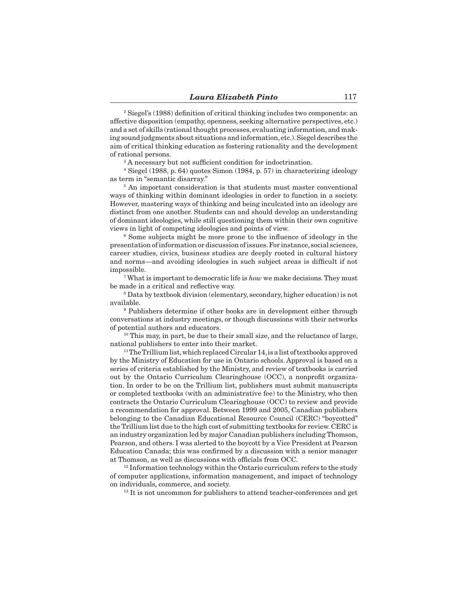<sup>2</sup> Siegel's (1988) definition of critical thinking includes two components: an affective disposition (empathy, openness, seeking alternative perspectives, etc.) and a set of skills (rational thought processes, evaluating information, and making sound judgments about situations and information,etc.).Siegel describes the aim of critical thinking education as fostering rationality and the development of rational persons.

<sup>3</sup> A necessary but not sufficient condition for indoctrination.

<sup>4</sup> Siegel (1988, p. 64) quotes Simon (1984, p. 57) in characterizing ideology as term in "semantic disarray."

<sup>5</sup> An important consideration is that students must master conventional ways of thinking within dominant ideologies in order to function in a society. However, mastering ways of thinking and being inculcated into an ideology are distinct from one another. Students can and should develop an understanding of dominant ideologies, while still questioning them within their own cognitive views in light of competing ideologies and points of view.

<sup>6</sup> Some subjects might be more prone to the influence of ideology in the presentation ofinformation or discussion ofissues.For instance, social sciences, career studies, civics, business studies are deeply rooted in cultural history and norms—and avoiding ideologies in such subject areas is difficult if not impossible.

<sup>7</sup> What is important to democratic life is *how* we make decisions.They must be made in a critical and reflective way.

<sup>8</sup> Data by textbook division (elementary, secondary, higher education) is not available.

<sup>9</sup> Publishers determine if other books are in development either through conversations at industry meetings, or though discussions with their networks of potential authors and educators.

<sup>10</sup> This may, in part, be due to their small size, and the reluctance of large, national publishers to enter into their market.

<sup>11</sup>The Trillium list, which replaced Circular 14, is a list of textbooks approved by the Ministry of Education for use in Ontario schools. Approval is based on a series of criteria established by the Ministry, and review of textbooks is carried out by the Ontario Curriculum Clearinghouse (OCC), a nonprofit organization. In order to be on the Trillium list, publishers must submit manuscripts or completed textbooks (with an administrative fee) to the Ministry, who then contracts the Ontario Curriculum Clearinghouse (OCC) to review and provide a recommendation for approval. Between 1999 and 2005, Canadian publishers belonging to the Canadian Educational Resource Council (CERC) "boycotted" theTrillium list due to the high cost of submitting textbooks for review. CERC is an industry organization led by major Canadian publishers includingThomson, Pearson, and others. I was alerted to the boycott by a Vice President at Pearson Education Canada; this was confirmed by a discussion with a senior manager at Thomson, as well as discussions with officials from OCC.

 $12$  Information technology within the Ontario curriculum refers to the study of computer applications, information management, and impact of technology on individuals, commerce, and society.

 $13$  It is not uncommon for publishers to attend teacher-conferences and get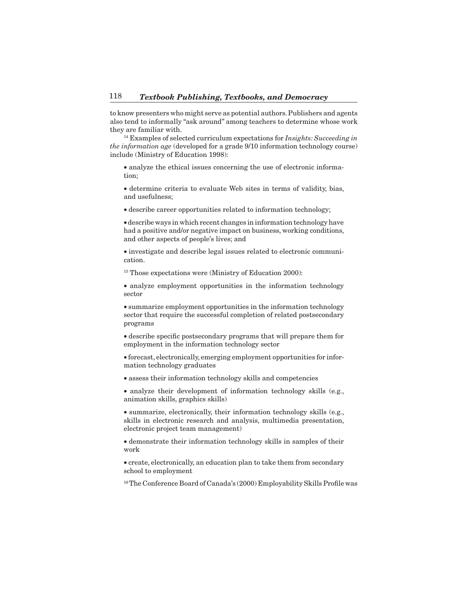to know presenters who might serve as potential authors.Publishers and agents also tend to informally "ask around" among teachers to determine whose work they are familiar with.

<sup>14</sup> Examples of selected curriculum expectations for *Insights: Succeeding in the information age* (developed for a grade 9/10 information technology course) include (Ministry of Education 1998):

• analyze the ethical issues concerning the use of electronic information;

• determine criteria to evaluate Web sites in terms of validity, bias, and usefulness;

• describe career opportunities related to information technology;

• describe ways in which recent changes in information technology have had a positive and/or negative impact on business, working conditions, and other aspects of people's lives; and

• investigate and describe legal issues related to electronic communication.

<sup>15</sup> Those expectations were (Ministry of Education 2000):

• analyze employment opportunities in the information technology sector

• summarize employment opportunities in the information technology sector that require the successful completion of related postsecondary programs

• describe specific postsecondary programs that will prepare them for employment in the information technology sector

• forecast, electronically, emerging employment opportunities for information technology graduates

• assess their information technology skills and competencies

• analyze their development of information technology skills (e.g., animation skills, graphics skills)

• summarize, electronically, their information technology skills (e.g., skills in electronic research and analysis, multimedia presentation, electronic project team management)

• demonstrate their information technology skills in samples of their work

• create, electronically, an education plan to take them from secondary school to employment

<sup>16</sup>The Conference Board of Canada's (2000) Employability Skills Profile was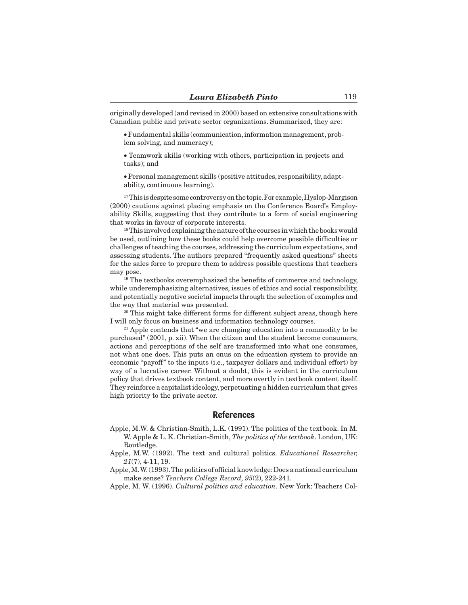originally developed (and revised in 2000) based on extensive consultations with Canadian public and private sector organizations. Summarized, they are:

• Fundamental skills (communication,information management,problem solving, and numeracy);

• Teamwork skills (working with others, participation in projects and tasks); and

• Personal management skills (positive attitudes, responsibility, adaptability, continuous learning).

 $17$ This is despite some controversy on the topic. For example, Hyslop-Margison (2000) cautions against placing emphasis on the Conference Board's Employability Skills, suggesting that they contribute to a form of social engineering that works in favour of corporate interests.

<sup>18</sup>This involved explaining the nature of the courses in which the books would be used, outlining how these books could help overcome possible difficulties or challenges of teaching the courses, addressing the curriculum expectations, and assessing students. The authors prepared "frequently asked questions" sheets for the sales force to prepare them to address possible questions that teachers may pose.

<sup>19</sup> The textbooks overemphasized the benefits of commerce and technology, while underemphasizing alternatives, issues of ethics and social responsibility, and potentially negative societal impacts through the selection of examples and the way that material was presented.

<sup>20</sup> This might take different forms for different subject areas, though here I will only focus on business and information technology courses.

<sup>21</sup> Apple contends that "we are changing education into a commodity to be purchased" (2001, p. xii). When the citizen and the student become consumers, actions and perceptions of the self are transformed into what one consumes, not what one does. This puts an onus on the education system to provide an economic "payoff" to the inputs (i.e., taxpayer dollars and individual effort) by way of a lucrative career. Without a doubt, this is evident in the curriculum policy that drives textbook content, and more overtly in textbook content itself. They reinforce a capitalist ideology, perpetuating a hidden curriculum that gives high priority to the private sector.

## **References**

Apple, M.W. & Christian-Smith, L.K. (1991). The politics of the textbook. In M. W. Apple & L. K. Christian-Smith, *The politics of the textbook*. London, UK: Routledge.

Apple, M.W. (1992). The text and cultural politics. *Educational Researcher, 21*(7), 4-11, 19.

Apple, M.W. (1993). The politics of official knowledge: Does a national curriculum make sense? *Teachers College Record, 95*(2), 222-241.

Apple, M. W. (1996). *Cultural politics and education*. New York: Teachers Col-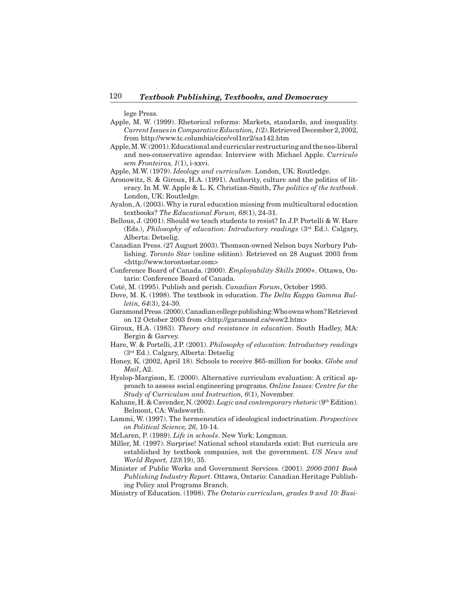lege Press.

- Apple, M. W. (1999). Rhetorical reforms: Markets, standards, and inequality. *Current Issues in Comparative Education, 1*(2).RetrievedDecember 2,2002, from http://www.tc.columbia/cice/vol1nr2/aa142.htm
- Apple, M.W.(2001). Educational and curricular restructuring and the neo-liberal and neo-conservative agendas: Interview with Michael Apple. *Curriculo sem Fronteiras, 1*(1), i-xxvi.

Apple, M.W. (1979). *Ideology and curriculum*. London, UK: Routledge.

- Aronowitz, S. & Giroux, H.A. (1991). Authority, culture and the politics of literacy. In M. W. Apple & L. K. Christian-Smith, *The politics of the textbook*. London, UK: Routledge.
- Ayalon, A. (2003).Why is rural education missing from multicultural education textbooks? *The Educational Forum, 68*(1), 24-31.
- Bellous, J. (2001). Should we teach students to resist? In J.P. Portelli & W. Hare (Eds.), *Philosophy of education: Introductory readings* (3rd Ed.). Calgary, Alberta: Detselig.
- Canadian Press. (27 August 2003). Thomson-owned Nelson buys Norbury Publishing. *Toronto Star* (online edition). Retrieved on 28 August 2003 from <http://www.torontostar.com>
- Conference Board of Canada. (2000). *Employability Skills 2000+*. Ottawa, Ontario: Conference Board of Canada.
- Coté, M. (1995). Publish and perish. *Canadian Forum*, October 1995.
- Dove, M. K. (1998). The textbook in education. *The Delta Kappa Gamma Bulletin, 64*(3), 24-30.
- Garamond Press. (2000). Canadian college publishing: Who owns whom? Retrieved on 12 October 2003 from <http://garamond.ca/wow2.htm>
- Giroux, H.A. (1983). *Theory and resistance in education*. South Hadley, MA: Bergin & Garvey.
- Hare, W. & Portelli, J.P. (2001). *Philosophy of education: Introductory readings*  (3rd Ed.). Calgary, Alberta: Detselig
- Honey, K. (2002, April 18). Schools to receive \$65-million for books. *Globe and Mail*, A2.
- Hyslop-Margison, E. (2000). Alternative curriculum evaluation: A critical approach to assess social engineering programs. *Online Issues: Centre for the Study of Curriculum and Instruction, 6*(1), November.
- Kahane, H. & Cavender, N.(2002).*Logic and contemporary rhetoric* (9th Edition). Belmont, CA: Wadsworth.
- Lammi, W. (1997). The hermeneutics of ideological indoctrination. *Perspectives on Political Science, 26*, 10-14.
- McLaren, P. (1989). *Life in schools*. New York: Longman.
- Miller, M. (1997). Surprise! National school standards exist: But curricula are established by textbook companies, not the government. *US News and World Report, 123*(19), 35.
- Minister of Public Works and Government Services. (2001). *2000-2001 Book Publishing Industry Report*. Ottawa, Ontario: Canadian Heritage Publishing Policy and Programs Branch.
- Ministry of Education. (1998). *The Ontario curriculum, grades 9 and 10: Busi-*